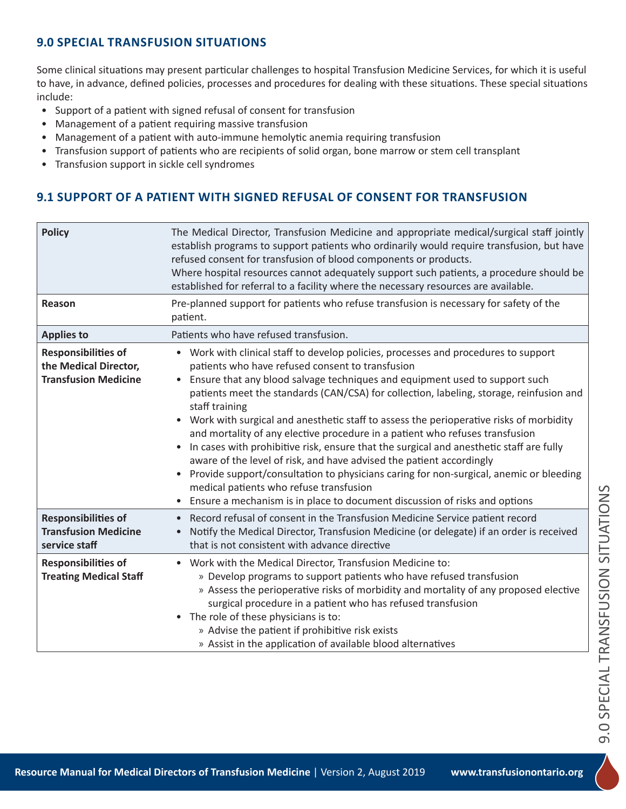## **9.0 SPECIAL TRANSFUSION SITUATIONS**

Some clinical situations may present particular challenges to hospital Transfusion Medicine Services, for which it is useful to have, in advance, defined policies, processes and procedures for dealing with these situations. These special situations include:

- Support of a patient with signed refusal of consent for transfusion
- Management of a patient requiring massive transfusion
- Management of a patient with auto-immune hemolytic anemia requiring transfusion
- Transfusion support of patients who are recipients of solid organ, bone marrow or stem cell transplant
- Transfusion support in sickle cell syndromes

# **9.1 SUPPORT OF A PATIENT WITH SIGNED REFUSAL OF CONSENT FOR TRANSFUSION**

| <b>Policy</b>                                                                      | The Medical Director, Transfusion Medicine and appropriate medical/surgical staff jointly<br>establish programs to support patients who ordinarily would require transfusion, but have<br>refused consent for transfusion of blood components or products.<br>Where hospital resources cannot adequately support such patients, a procedure should be<br>established for referral to a facility where the necessary resources are available.                                                                                                                                                                                                                                                                                                                                                                                                                                                                                    |
|------------------------------------------------------------------------------------|---------------------------------------------------------------------------------------------------------------------------------------------------------------------------------------------------------------------------------------------------------------------------------------------------------------------------------------------------------------------------------------------------------------------------------------------------------------------------------------------------------------------------------------------------------------------------------------------------------------------------------------------------------------------------------------------------------------------------------------------------------------------------------------------------------------------------------------------------------------------------------------------------------------------------------|
| Reason                                                                             | Pre-planned support for patients who refuse transfusion is necessary for safety of the<br>patient.                                                                                                                                                                                                                                                                                                                                                                                                                                                                                                                                                                                                                                                                                                                                                                                                                              |
| <b>Applies to</b>                                                                  | Patients who have refused transfusion.                                                                                                                                                                                                                                                                                                                                                                                                                                                                                                                                                                                                                                                                                                                                                                                                                                                                                          |
| <b>Responsibilities of</b><br>the Medical Director,<br><b>Transfusion Medicine</b> | • Work with clinical staff to develop policies, processes and procedures to support<br>patients who have refused consent to transfusion<br>Ensure that any blood salvage techniques and equipment used to support such<br>$\bullet$<br>patients meet the standards (CAN/CSA) for collection, labeling, storage, reinfusion and<br>staff training<br>• Work with surgical and anesthetic staff to assess the perioperative risks of morbidity<br>and mortality of any elective procedure in a patient who refuses transfusion<br>In cases with prohibitive risk, ensure that the surgical and anesthetic staff are fully<br>aware of the level of risk, and have advised the patient accordingly<br>Provide support/consultation to physicians caring for non-surgical, anemic or bleeding<br>$\bullet$<br>medical patients who refuse transfusion<br>Ensure a mechanism is in place to document discussion of risks and options |
| <b>Responsibilities of</b><br><b>Transfusion Medicine</b><br>service staff         | Record refusal of consent in the Transfusion Medicine Service patient record<br>$\bullet$<br>Notify the Medical Director, Transfusion Medicine (or delegate) if an order is received<br>that is not consistent with advance directive                                                                                                                                                                                                                                                                                                                                                                                                                                                                                                                                                                                                                                                                                           |
| <b>Responsibilities of</b><br><b>Treating Medical Staff</b>                        | • Work with the Medical Director, Transfusion Medicine to:<br>» Develop programs to support patients who have refused transfusion<br>» Assess the perioperative risks of morbidity and mortality of any proposed elective<br>surgical procedure in a patient who has refused transfusion<br>The role of these physicians is to:<br>$\bullet$<br>» Advise the patient if prohibitive risk exists<br>» Assist in the application of available blood alternatives                                                                                                                                                                                                                                                                                                                                                                                                                                                                  |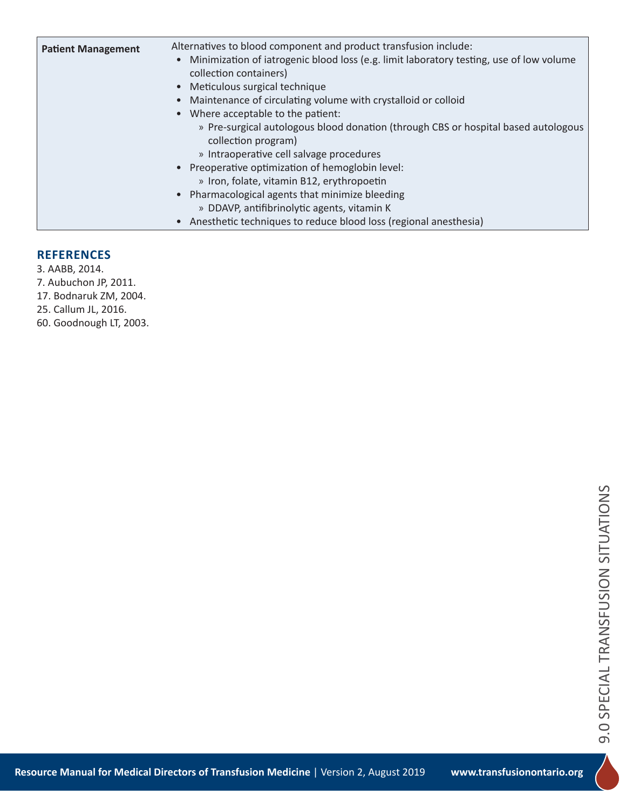| <b>Patient Management</b> | Alternatives to blood component and product transfusion include:<br>• Minimization of iatrogenic blood loss (e.g. limit laboratory testing, use of low volume<br>collection containers)<br>• Meticulous surgical technique<br>• Maintenance of circulating volume with crystalloid or colloid<br>• Where acceptable to the patient:<br>» Pre-surgical autologous blood donation (through CBS or hospital based autologous<br>collection program)<br>» Intraoperative cell salvage procedures<br>• Preoperative optimization of hemoglobin level:<br>» Iron, folate, vitamin B12, erythropoetin<br>• Pharmacological agents that minimize bleeding<br>» DDAVP, antifibrinolytic agents, vitamin K<br>• Anesthetic techniques to reduce blood loss (regional anesthesia) |
|---------------------------|------------------------------------------------------------------------------------------------------------------------------------------------------------------------------------------------------------------------------------------------------------------------------------------------------------------------------------------------------------------------------------------------------------------------------------------------------------------------------------------------------------------------------------------------------------------------------------------------------------------------------------------------------------------------------------------------------------------------------------------------------------------------|
|---------------------------|------------------------------------------------------------------------------------------------------------------------------------------------------------------------------------------------------------------------------------------------------------------------------------------------------------------------------------------------------------------------------------------------------------------------------------------------------------------------------------------------------------------------------------------------------------------------------------------------------------------------------------------------------------------------------------------------------------------------------------------------------------------------|

#### **REFERENCES**

3. AABB, 2014. 7. Aubuchon JP, 2011. 17. Bodnaruk ZM, 2004. 25. Callum JL, 2016. 60. Goodnough LT, 2003.

> 9.0 SPECIAL TRANSFUSION SITUATIONS 9.0 SPECIAL TRANSFUSION SITUATIONS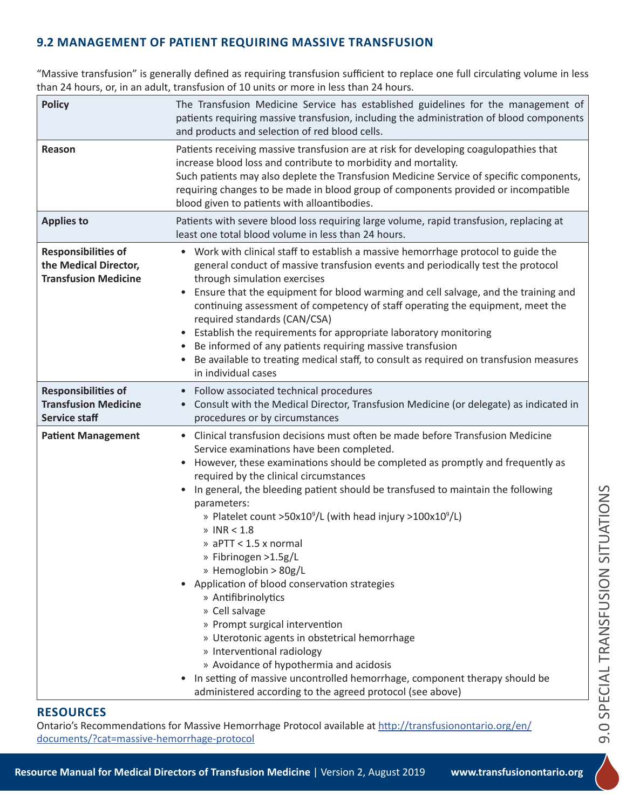# **9.2 MANAGEMENT OF PATIENT REQUIRING MASSIVE TRANSFUSION**

"Massive transfusion" is generally defined as requiring transfusion sufficient to replace one full circulating volume in less than 24 hours, or, in an adult, transfusion of 10 units or more in less than 24 hours.

| <b>Policy</b>                                                                      | The Transfusion Medicine Service has established guidelines for the management of<br>patients requiring massive transfusion, including the administration of blood components<br>and products and selection of red blood cells.                                                                                                                                                                                                                                                                                                                                                                                                                                                                                                                                                                                                                                                                                                                     |
|------------------------------------------------------------------------------------|-----------------------------------------------------------------------------------------------------------------------------------------------------------------------------------------------------------------------------------------------------------------------------------------------------------------------------------------------------------------------------------------------------------------------------------------------------------------------------------------------------------------------------------------------------------------------------------------------------------------------------------------------------------------------------------------------------------------------------------------------------------------------------------------------------------------------------------------------------------------------------------------------------------------------------------------------------|
| Reason                                                                             | Patients receiving massive transfusion are at risk for developing coagulopathies that<br>increase blood loss and contribute to morbidity and mortality.<br>Such patients may also deplete the Transfusion Medicine Service of specific components,<br>requiring changes to be made in blood group of components provided or incompatible<br>blood given to patients with alloantibodies.                                                                                                                                                                                                                                                                                                                                                                                                                                                                                                                                                            |
| <b>Applies to</b>                                                                  | Patients with severe blood loss requiring large volume, rapid transfusion, replacing at<br>least one total blood volume in less than 24 hours.                                                                                                                                                                                                                                                                                                                                                                                                                                                                                                                                                                                                                                                                                                                                                                                                      |
| <b>Responsibilities of</b><br>the Medical Director,<br><b>Transfusion Medicine</b> | • Work with clinical staff to establish a massive hemorrhage protocol to guide the<br>general conduct of massive transfusion events and periodically test the protocol<br>through simulation exercises<br>Ensure that the equipment for blood warming and cell salvage, and the training and<br>continuing assessment of competency of staff operating the equipment, meet the<br>required standards (CAN/CSA)<br>• Establish the requirements for appropriate laboratory monitoring<br>Be informed of any patients requiring massive transfusion<br>Be available to treating medical staff, to consult as required on transfusion measures<br>in individual cases                                                                                                                                                                                                                                                                                  |
| <b>Responsibilities of</b><br><b>Transfusion Medicine</b><br><b>Service staff</b>  | • Follow associated technical procedures<br>Consult with the Medical Director, Transfusion Medicine (or delegate) as indicated in<br>procedures or by circumstances                                                                                                                                                                                                                                                                                                                                                                                                                                                                                                                                                                                                                                                                                                                                                                                 |
| <b>Patient Management</b>                                                          | • Clinical transfusion decisions must often be made before Transfusion Medicine<br>Service examinations have been completed.<br>However, these examinations should be completed as promptly and frequently as<br>required by the clinical circumstances<br>In general, the bleeding patient should be transfused to maintain the following<br>parameters:<br>» Platelet count >50x10 <sup>9</sup> /L (with head injury >100x10 <sup>9</sup> /L)<br>$\textdegree$ INR < 1.8<br>» aPTT < 1.5 x normal<br>» Fibrinogen >1.5g/L<br>» Hemoglobin > 80g/L<br>Application of blood conservation strategies<br>» Antifibrinolytics<br>» Cell salvage<br>» Prompt surgical intervention<br>» Uterotonic agents in obstetrical hemorrhage<br>» Interventional radiology<br>» Avoidance of hypothermia and acidosis<br>In setting of massive uncontrolled hemorrhage, component therapy should be<br>administered according to the agreed protocol (see above) |

### **RESOURCES**

Ontario's Recommendations for Massive Hemorrhage Protocol available at http://transfusionontario.org/en/ documents/?cat=massive-hemorrhage-protocol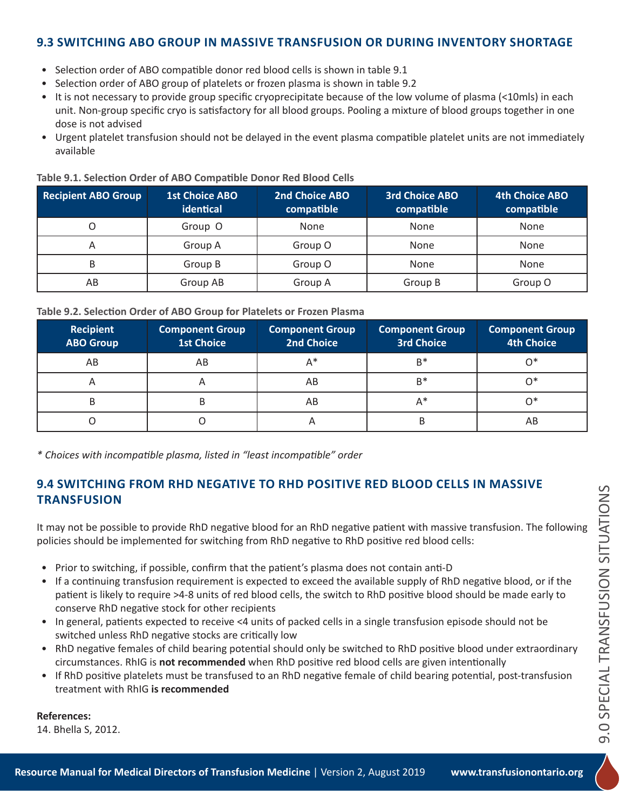### **9.3 SWITCHING ABO GROUP IN MASSIVE TRANSFUSION OR DURING INVENTORY SHORTAGE**

- Selection order of ABO compatible donor red blood cells is shown in table 9.1
- Selection order of ABO group of platelets or frozen plasma is shown in table 9.2
- It is not necessary to provide group specific cryoprecipitate because of the low volume of plasma (<10mls) in each unit. Non-group specific cryo is satisfactory for all blood groups. Pooling a mixture of blood groups together in one dose is not advised
- Urgent platelet transfusion should not be delayed in the event plasma compatible platelet units are not immediately available

| <b>Recipient ABO Group</b> | <b>1st Choice ABO</b><br>identical | 2nd Choice ABO<br>compatible | <b>3rd Choice ABO</b><br>compatible | <b>4th Choice ABO</b><br>compatible |
|----------------------------|------------------------------------|------------------------------|-------------------------------------|-------------------------------------|
|                            | Group O                            | None                         | None                                | None                                |
| A                          | Group A                            | Group O                      | None                                | <b>None</b>                         |
| B                          | Group B                            | Group O                      | None                                | None                                |
| AB                         | Group AB                           | Group A                      | Group B                             | Group O                             |

#### **Table 9.1. Selection Order of ABO Compatible Donor Red Blood Cells**

#### **Table 9.2. Selection Order of ABO Group for Platelets or Frozen Plasma**

| Recipient<br><b>ABO Group</b> | <b>Component Group</b><br><b>1st Choice</b> | <b>Component Group</b><br>2nd Choice | <b>Component Group</b><br><b>3rd Choice</b> | <b>Component Group</b><br><b>4th Choice</b> |
|-------------------------------|---------------------------------------------|--------------------------------------|---------------------------------------------|---------------------------------------------|
| AB                            | AB                                          | A*                                   | $B^*$                                       | ∩∗                                          |
| H                             | Α                                           | AB                                   | $B^*$                                       |                                             |
| В                             | B                                           | AB                                   | $A^*$                                       |                                             |
|                               |                                             |                                      | В                                           | AΒ                                          |

*\* Choices with incompatible plasma, listed in "least incompatible" order*

### **9.4 SWITCHING FROM RHD NEGATIVE TO RHD POSITIVE RED BLOOD CELLS IN MASSIVE TRANSFUSION**

It may not be possible to provide RhD negative blood for an RhD negative patient with massive transfusion. The following policies should be implemented for switching from RhD negative to RhD positive red blood cells:

- Prior to switching, if possible, confirm that the patient's plasma does not contain anti-D
- If a continuing transfusion requirement is expected to exceed the available supply of RhD negative blood, or if the patient is likely to require >4-8 units of red blood cells, the switch to RhD positive blood should be made early to conserve RhD negative stock for other recipients
- In general, patients expected to receive <4 units of packed cells in a single transfusion episode should not be switched unless RhD negative stocks are critically low
- RhD negative females of child bearing potential should only be switched to RhD positive blood under extraordinary circumstances. RhIG is **not recommended** when RhD positive red blood cells are given intentionally
- If RhD positive platelets must be transfused to an RhD negative female of child bearing potential, post-transfusion treatment with RhIG **is recommended**

**References:**

14. Bhella S, 2012.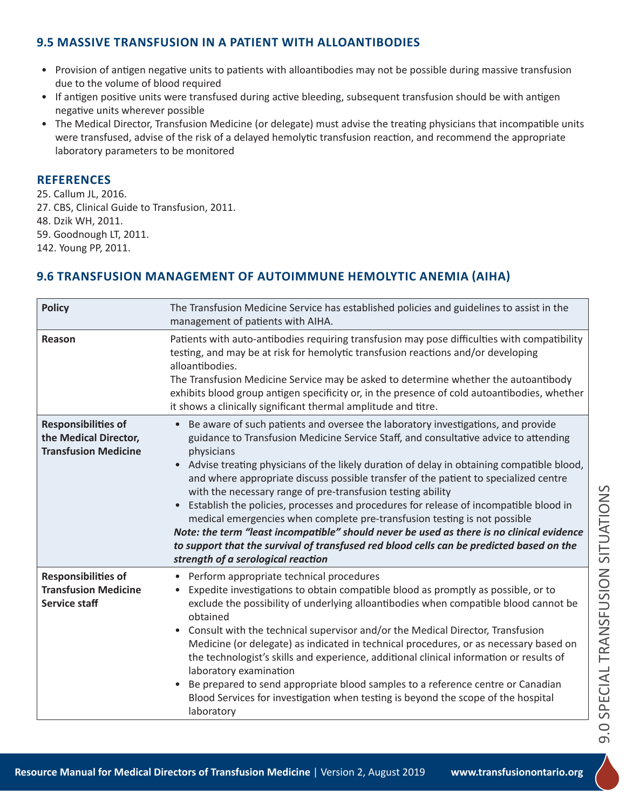## **9.5 MASSIVE TRANSFUSION IN A PATIENT WITH ALLOANTIBODIES**

- Provision of antigen negative units to patients with alloantibodies may not be possible during massive transfusion due to the volume of blood required
- If antigen positive units were transfused during active bleeding, subsequent transfusion should be with antigen negative units wherever possible
- The Medical Director, Transfusion Medicine (or delegate) must advise the treating physicians that incompatible units were transfused, advise of the risk of a delayed hemolytic transfusion reaction, and recommend the appropriate laboratory parameters to be monitored

#### **REFERENCES**

25. Callum JL, 2016.

- 27. CBS, Clinical Guide to Transfusion, 2011.
- 48. Dzik WH, 2011.

59. Goodnough LT, 2011.

142. Young PP, 2011.

### **9.6 TRANSFUSION MANAGEMENT OF AUTOIMMUNE HEMOLYTIC ANEMIA (AIHA)**

| <b>Policy</b>                                                                      | The Transfusion Medicine Service has established policies and guidelines to assist in the<br>management of patients with AIHA.                                                                                                                                                                                                                                                                                                                                                                                                                                                                                                                                                                                                                                                                                                                      |
|------------------------------------------------------------------------------------|-----------------------------------------------------------------------------------------------------------------------------------------------------------------------------------------------------------------------------------------------------------------------------------------------------------------------------------------------------------------------------------------------------------------------------------------------------------------------------------------------------------------------------------------------------------------------------------------------------------------------------------------------------------------------------------------------------------------------------------------------------------------------------------------------------------------------------------------------------|
| <b>Reason</b>                                                                      | Patients with auto-antibodies requiring transfusion may pose difficulties with compatibility<br>testing, and may be at risk for hemolytic transfusion reactions and/or developing<br>alloantibodies.<br>The Transfusion Medicine Service may be asked to determine whether the autoantibody<br>exhibits blood group antigen specificity or, in the presence of cold autoantibodies, whether<br>it shows a clinically significant thermal amplitude and titre.                                                                                                                                                                                                                                                                                                                                                                                       |
| <b>Responsibilities of</b><br>the Medical Director,<br><b>Transfusion Medicine</b> | • Be aware of such patients and oversee the laboratory investigations, and provide<br>guidance to Transfusion Medicine Service Staff, and consultative advice to attending<br>physicians<br>• Advise treating physicians of the likely duration of delay in obtaining compatible blood,<br>and where appropriate discuss possible transfer of the patient to specialized centre<br>with the necessary range of pre-transfusion testing ability<br>Establish the policies, processes and procedures for release of incompatible blood in<br>medical emergencies when complete pre-transfusion testing is not possible<br>Note: the term "least incompatible" should never be used as there is no clinical evidence<br>to support that the survival of transfused red blood cells can be predicted based on the<br>strength of a serological reaction |
| <b>Responsibilities of</b><br><b>Transfusion Medicine</b><br><b>Service staff</b>  | • Perform appropriate technical procedures<br>Expedite investigations to obtain compatible blood as promptly as possible, or to<br>exclude the possibility of underlying alloantibodies when compatible blood cannot be<br>obtained<br>Consult with the technical supervisor and/or the Medical Director, Transfusion<br>Medicine (or delegate) as indicated in technical procedures, or as necessary based on<br>the technologist's skills and experience, additional clinical information or results of<br>laboratory examination<br>Be prepared to send appropriate blood samples to a reference centre or Canadian<br>Blood Services for investigation when testing is beyond the scope of the hospital<br>laboratory                                                                                                                           |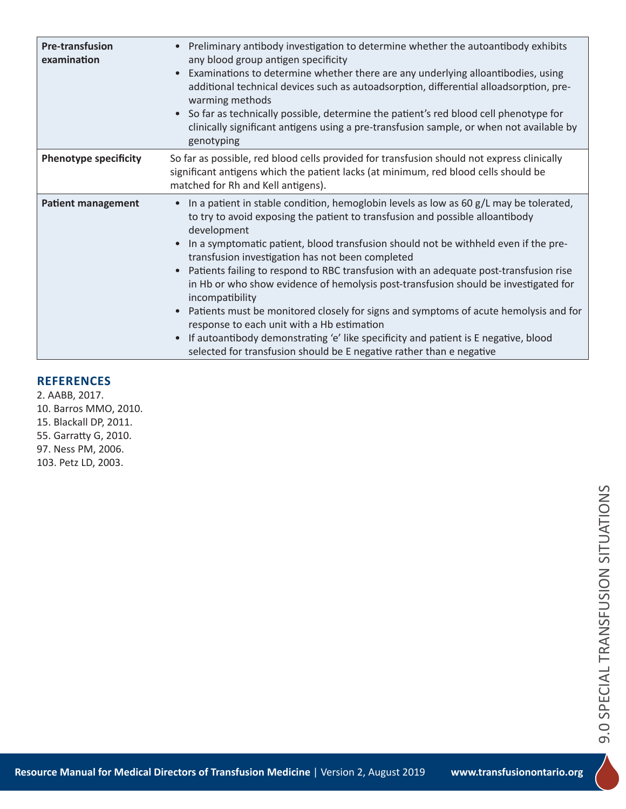| <b>Pre-transfusion</b><br>examination | Preliminary antibody investigation to determine whether the autoantibody exhibits<br>any blood group antigen specificity<br>Examinations to determine whether there are any underlying alloantibodies, using<br>additional technical devices such as autoadsorption, differential alloadsorption, pre-<br>warming methods<br>• So far as technically possible, determine the patient's red blood cell phenotype for<br>clinically significant antigens using a pre-transfusion sample, or when not available by<br>genotyping                                                                                                                                                                                                                                                                                                                                                                 |
|---------------------------------------|-----------------------------------------------------------------------------------------------------------------------------------------------------------------------------------------------------------------------------------------------------------------------------------------------------------------------------------------------------------------------------------------------------------------------------------------------------------------------------------------------------------------------------------------------------------------------------------------------------------------------------------------------------------------------------------------------------------------------------------------------------------------------------------------------------------------------------------------------------------------------------------------------|
| <b>Phenotype specificity</b>          | So far as possible, red blood cells provided for transfusion should not express clinically<br>significant antigens which the patient lacks (at minimum, red blood cells should be<br>matched for Rh and Kell antigens).                                                                                                                                                                                                                                                                                                                                                                                                                                                                                                                                                                                                                                                                       |
| <b>Patient management</b>             | In a patient in stable condition, hemoglobin levels as low as 60 g/L may be tolerated,<br>$\bullet$<br>to try to avoid exposing the patient to transfusion and possible alloantibody<br>development<br>In a symptomatic patient, blood transfusion should not be withheld even if the pre-<br>$\bullet$<br>transfusion investigation has not been completed<br>Patients failing to respond to RBC transfusion with an adequate post-transfusion rise<br>in Hb or who show evidence of hemolysis post-transfusion should be investigated for<br>incompatibility<br>Patients must be monitored closely for signs and symptoms of acute hemolysis and for<br>$\bullet$<br>response to each unit with a Hb estimation<br>If autoantibody demonstrating 'e' like specificity and patient is E negative, blood<br>$\bullet$<br>selected for transfusion should be E negative rather than e negative |

# **REFERENCES**

2. AABB, 2017. 10. Barros MMO, 2010. 15. Blackall DP, 2011. 55. Garratty G, 2010. 97. Ness PM, 2006. 103. Petz LD, 2003.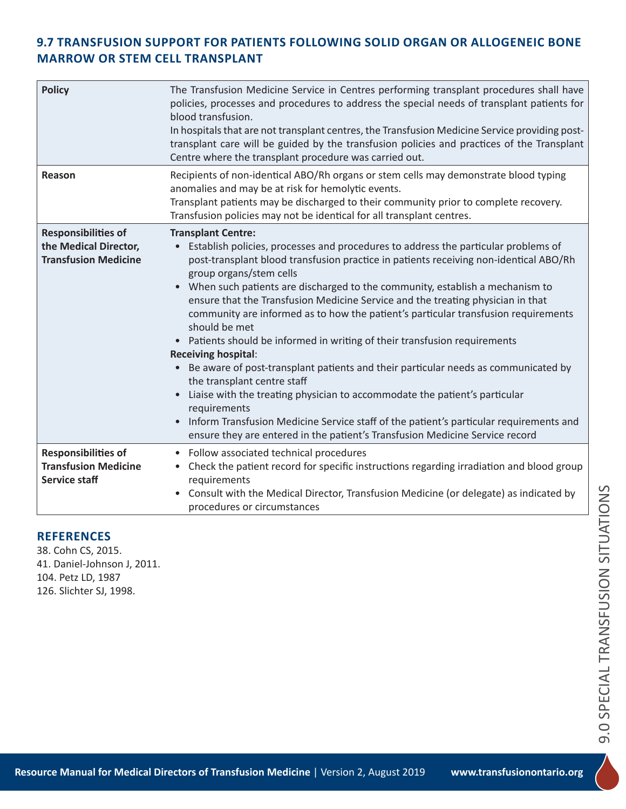# **9.7 TRANSFUSION SUPPORT FOR PATIENTS FOLLOWING SOLID ORGAN OR ALLOGENEIC BONE MARROW OR STEM CELL TRANSPLANT**

| <b>Policy</b>                                                                      | The Transfusion Medicine Service in Centres performing transplant procedures shall have<br>policies, processes and procedures to address the special needs of transplant patients for<br>blood transfusion.<br>In hospitals that are not transplant centres, the Transfusion Medicine Service providing post-<br>transplant care will be guided by the transfusion policies and practices of the Transplant<br>Centre where the transplant procedure was carried out.                                                                                                                                                                                                                                                                                                                                                                                                                                                                                                                                                             |
|------------------------------------------------------------------------------------|-----------------------------------------------------------------------------------------------------------------------------------------------------------------------------------------------------------------------------------------------------------------------------------------------------------------------------------------------------------------------------------------------------------------------------------------------------------------------------------------------------------------------------------------------------------------------------------------------------------------------------------------------------------------------------------------------------------------------------------------------------------------------------------------------------------------------------------------------------------------------------------------------------------------------------------------------------------------------------------------------------------------------------------|
| Reason                                                                             | Recipients of non-identical ABO/Rh organs or stem cells may demonstrate blood typing<br>anomalies and may be at risk for hemolytic events.<br>Transplant patients may be discharged to their community prior to complete recovery.<br>Transfusion policies may not be identical for all transplant centres.                                                                                                                                                                                                                                                                                                                                                                                                                                                                                                                                                                                                                                                                                                                       |
| <b>Responsibilities of</b><br>the Medical Director,<br><b>Transfusion Medicine</b> | <b>Transplant Centre:</b><br>Establish policies, processes and procedures to address the particular problems of<br>post-transplant blood transfusion practice in patients receiving non-identical ABO/Rh<br>group organs/stem cells<br>When such patients are discharged to the community, establish a mechanism to<br>ensure that the Transfusion Medicine Service and the treating physician in that<br>community are informed as to how the patient's particular transfusion requirements<br>should be met<br>Patients should be informed in writing of their transfusion requirements<br><b>Receiving hospital:</b><br>Be aware of post-transplant patients and their particular needs as communicated by<br>the transplant centre staff<br>Liaise with the treating physician to accommodate the patient's particular<br>requirements<br>Inform Transfusion Medicine Service staff of the patient's particular requirements and<br>$\bullet$<br>ensure they are entered in the patient's Transfusion Medicine Service record |
| <b>Responsibilities of</b><br><b>Transfusion Medicine</b><br><b>Service staff</b>  | • Follow associated technical procedures<br>Check the patient record for specific instructions regarding irradiation and blood group<br>$\bullet$<br>requirements<br>Consult with the Medical Director, Transfusion Medicine (or delegate) as indicated by<br>procedures or circumstances                                                                                                                                                                                                                                                                                                                                                                                                                                                                                                                                                                                                                                                                                                                                         |

#### **REFERENCES**

38. Cohn CS, 2015. 41. Daniel-Johnson J, 2011. 104. Petz LD, 1987 126. Slichter SJ, 1998.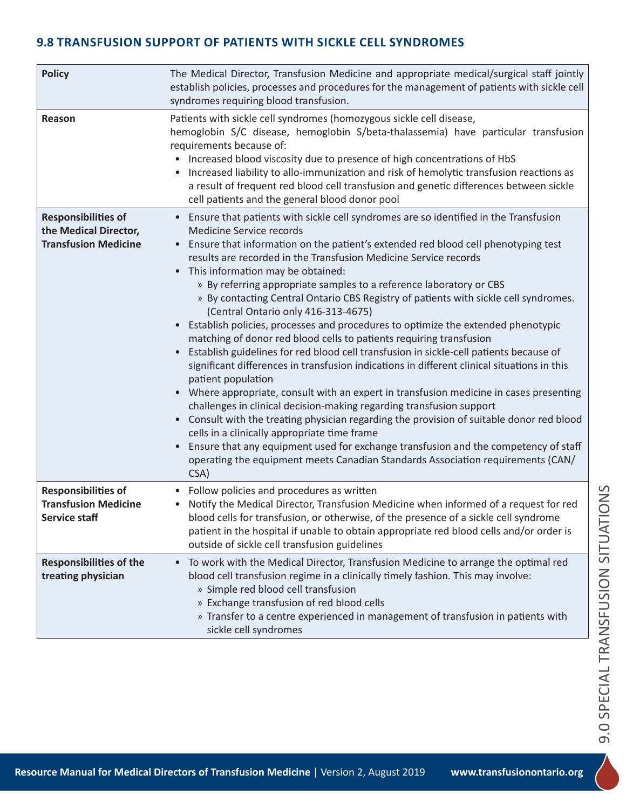# **9.8 TRANSFUSION SUPPORT OF PATIENTS WITH SICKLE CELL SYNDROMES**

| <b>Policy</b>                                                                      | The Medical Director, Transfusion Medicine and appropriate medical/surgical staff jointly<br>establish policies, processes and procedures for the management of patients with sickle cell<br>syndromes requiring blood transfusion.                                                                                                                                                                                                                                                                                                                                                                                                                                                                                                                                                                                                                                                                                                                                                                                                                                                                                                                                                                                                                                                                                                                                                                               |
|------------------------------------------------------------------------------------|-------------------------------------------------------------------------------------------------------------------------------------------------------------------------------------------------------------------------------------------------------------------------------------------------------------------------------------------------------------------------------------------------------------------------------------------------------------------------------------------------------------------------------------------------------------------------------------------------------------------------------------------------------------------------------------------------------------------------------------------------------------------------------------------------------------------------------------------------------------------------------------------------------------------------------------------------------------------------------------------------------------------------------------------------------------------------------------------------------------------------------------------------------------------------------------------------------------------------------------------------------------------------------------------------------------------------------------------------------------------------------------------------------------------|
| Reason                                                                             | Patients with sickle cell syndromes (homozygous sickle cell disease,<br>hemoglobin S/C disease, hemoglobin S/beta-thalassemia) have particular transfusion<br>requirements because of:<br>• Increased blood viscosity due to presence of high concentrations of HbS<br>• Increased liability to allo-immunization and risk of hemolytic transfusion reactions as<br>a result of frequent red blood cell transfusion and genetic differences between sickle<br>cell patients and the general blood donor pool                                                                                                                                                                                                                                                                                                                                                                                                                                                                                                                                                                                                                                                                                                                                                                                                                                                                                                      |
| <b>Responsibilities of</b><br>the Medical Director,<br><b>Transfusion Medicine</b> | Ensure that patients with sickle cell syndromes are so identified in the Transfusion<br>Medicine Service records<br>• Ensure that information on the patient's extended red blood cell phenotyping test<br>results are recorded in the Transfusion Medicine Service records<br>• This information may be obtained:<br>» By referring appropriate samples to a reference laboratory or CBS<br>» By contacting Central Ontario CBS Registry of patients with sickle cell syndromes.<br>(Central Ontario only 416-313-4675)<br>• Establish policies, processes and procedures to optimize the extended phenotypic<br>matching of donor red blood cells to patients requiring transfusion<br>Establish guidelines for red blood cell transfusion in sickle-cell patients because of<br>significant differences in transfusion indications in different clinical situations in this<br>patient population<br>• Where appropriate, consult with an expert in transfusion medicine in cases presenting<br>challenges in clinical decision-making regarding transfusion support<br>Consult with the treating physician regarding the provision of suitable donor red blood<br>cells in a clinically appropriate time frame<br>Ensure that any equipment used for exchange transfusion and the competency of staff<br>$\bullet$<br>operating the equipment meets Canadian Standards Association requirements (CAN/<br>CSA) |
| <b>Responsibilities of</b><br><b>Transfusion Medicine</b><br>Service staff         | • Follow policies and procedures as written<br>Notify the Medical Director, Transfusion Medicine when informed of a request for red<br>blood cells for transfusion, or otherwise, of the presence of a sickle cell syndrome<br>patient in the hospital if unable to obtain appropriate red blood cells and/or order is<br>outside of sickle cell transfusion guidelines                                                                                                                                                                                                                                                                                                                                                                                                                                                                                                                                                                                                                                                                                                                                                                                                                                                                                                                                                                                                                                           |
| <b>Responsibilities of the</b><br>treating physician                               | To work with the Medical Director, Transfusion Medicine to arrange the optimal red<br>$\bullet$<br>blood cell transfusion regime in a clinically timely fashion. This may involve:<br>» Simple red blood cell transfusion<br>» Exchange transfusion of red blood cells<br>» Transfer to a centre experienced in management of transfusion in patients with<br>sickle cell syndromes                                                                                                                                                                                                                                                                                                                                                                                                                                                                                                                                                                                                                                                                                                                                                                                                                                                                                                                                                                                                                               |